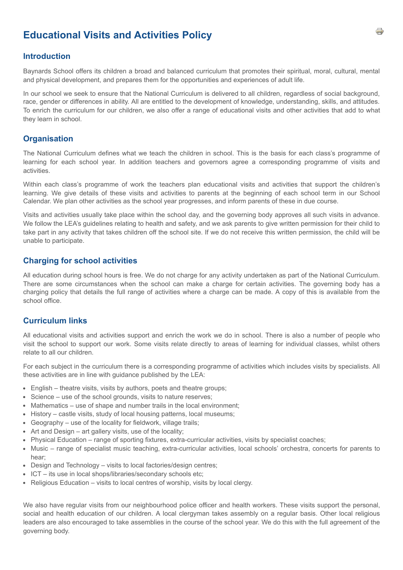# **Educational Visits and Activities Policy**

### **Introduction**

Baynards School offers its children a broad and balanced curriculum that promotes their spiritual, moral, cultural, mental and physical development, and prepares them for the opportunities and experiences of adult life.

In our school we seek to ensure that the National Curriculum is delivered to all children, regardless of social background, race, gender or differences in ability. All are entitled to the development of knowledge, understanding, skills, and attitudes. To enrich the curriculum for our children, we also offer a range of educational visits and other activities that add to what they learn in school.

#### **Organisation**

The National Curriculum defines what we teach the children in school. This is the basis for each class's programme of learning for each school year. In addition teachers and governors agree a corresponding programme of visits and activities.

Within each class's programme of work the teachers plan educational visits and activities that support the children's learning. We give details of these visits and activities to parents at the beginning of each school term in our School Calendar. We plan other activities as the school year progresses, and inform parents of these in due course.

Visits and activities usually take place within the school day, and the governing body approves all such visits in advance. We follow the LEA's guidelines relating to health and safety, and we ask parents to give written permission for their child to take part in any activity that takes children off the school site. If we do not receive this written permission, the child will be unable to participate.

#### **Charging for school activities**

All education during school hours is free. We do not charge for any activity undertaken as part of the National Curriculum. There are some circumstances when the school can make a charge for certain activities. The governing body has a charging policy that details the full range of activities where a charge can be made. A copy of this is available from the school office.

## **Curriculum links**

All educational visits and activities support and enrich the work we do in school. There is also a number of people who visit the school to support our work. Some visits relate directly to areas of learning for individual classes, whilst others relate to all our children.

For each subject in the curriculum there is a corresponding programme of activities which includes visits by specialists. All these activities are in line with guidance published by the LEA:

- English theatre visits, visits by authors, poets and theatre groups;
- Science use of the school grounds, visits to nature reserves;
- Mathematics use of shape and number trails in the local environment:
- History castle visits, study of local housing patterns, local museums;
- Geography use of the locality for fieldwork, village trails;
- Art and Design art gallery visits, use of the locality;
- Physical Education range of sporting fixtures, extra-curricular activities, visits by specialist coaches;
- Music range of specialist music teaching, extra-curricular activities, local schools' orchestra, concerts for parents to hear;
- Design and Technology visits to local factories/design centres;
- ICT its use in local shops/libraries/secondary schools etc;
- $\bullet$  Religious Education visits to local centres of worship, visits by local clergy.

We also have regular visits from our neighbourhood police officer and health workers. These visits support the personal, social and health education of our children. A local clergyman takes assembly on a regular basis. Other local religious leaders are also encouraged to take assemblies in the course of the school year. We do this with the full agreement of the governing body.